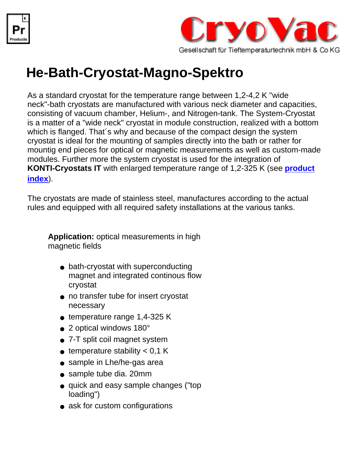



## **He-Bath-Cryostat-Magno-Spektro**

As a standard cryostat for the temperature range between 1,2-4,2 K "wide neck"-bath cryostats are manufactured with various neck diameter and capacities, consisting of vacuum chamber, Helium-, and Nitrogen-tank. The System-Cryostat is a matter of a "wide neck" cryostat in module construction, realized with a bottom which is flanged. That´s why and because of the compact design the system cryostat is ideal for the mounting of samples directly into the bath or rather for mountig end pieces for optical or magnetic measurements as well as custom-made modules. Further more the system cryostat is used for the integration of **KONTI-Cryostats IT** with enlarged temperature range of 1,2-325 K (see **[product](file:///C|/Dokumente und Einstellungen/Karl-Heinz K�nkel/Eigene Dateien/Kalle/Kunden/cryovac/products.html) [index](file:///C|/Dokumente und Einstellungen/Karl-Heinz K�nkel/Eigene Dateien/Kalle/Kunden/cryovac/products.html)**).

The cryostats are made of stainless steel, manufactures according to the actual rules and equipped with all required safety installations at the various tanks.

**Application:** optical measurements in high magnetic fields

- bath-cryostat with superconducting magnet and integrated continous flow cryostat
- no transfer tube for insert cryostat necessary
- $\bullet$  temperature range 1,4-325 K
- 2 optical windows 180°
- 7-T split coil magnet system
- $\bullet$  temperature stability < 0,1 K
- sample in Lhe/he-gas area
- sample tube dia. 20mm
- quick and easy sample changes ("top loading")
- ask for custom configurations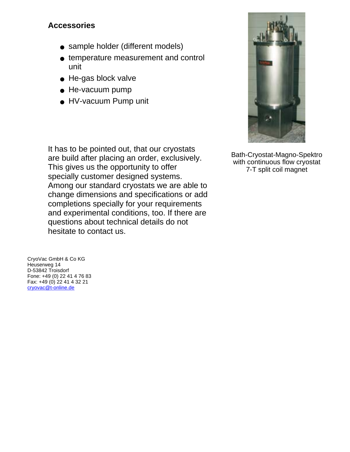## **Accessories**

- sample holder (different models)
- temperature measurement and control unit
- He-gas block valve
- He-vacuum pump
- HV-vacuum Pump unit

It has to be pointed out, that our cryostats are build after placing an order, exclusively. This gives us the opportunity to offer specially customer designed systems. Among our standard cryostats we are able to change dimensions and specifications or add completions specially for your requirements and experimental conditions, too. If there are questions about technical details do not hesitate to contact us.

CryoVac GmbH & Co KG Heuserweg 14 D-53842 Troisdorf Fone: +49 (0) 22 41 4 76 83 Fax: +49 (0) 22 41 4 32 21 [cryovac@t-online.de](mailto:cryovac@t-online.de)



Bath-Cryostat-Magno-Spektro with continuous flow cryostat 7-T split coil magnet